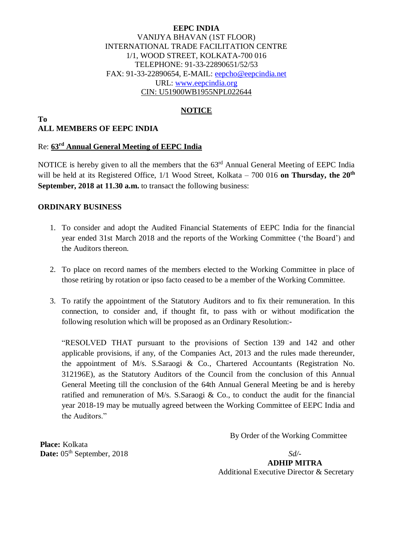### **EEPC INDIA** VANIJYA BHAVAN (1ST FLOOR) INTERNATIONAL TRADE FACILITATION CENTRE 1/1, WOOD STREET, KOLKATA-700 016 TELEPHONE: 91-33-22890651/52/53 FAX: 91-33-22890654, E-MAIL: [eepcho@eepcindia.net](mailto:eepcho@eepcindia.net) URL: [www.eepcindia.org](http://www.eepcindia.org/) CIN: U51900WB1955NPL022644

# **NOTICE**

#### **To ALL MEMBERS OF EEPC INDIA**

### Re: **63 rd Annual General Meeting of EEPC India**

NOTICE is hereby given to all the members that the 63<sup>rd</sup> Annual General Meeting of EEPC India will be held at its Registered Office, 1/1 Wood Street, Kolkata - 700 016 on Thursday, the 20<sup>th</sup> **September, 2018 at 11.30 a.m.** to transact the following business:

### **ORDINARY BUSINESS**

- 1. To consider and adopt the Audited Financial Statements of EEPC India for the financial year ended 31st March 2018 and the reports of the Working Committee ('the Board') and the Auditors thereon.
- 2. To place on record names of the members elected to the Working Committee in place of those retiring by rotation or ipso facto ceased to be a member of the Working Committee.
- 3. To ratify the appointment of the Statutory Auditors and to fix their remuneration. In this connection, to consider and, if thought fit, to pass with or without modification the following resolution which will be proposed as an Ordinary Resolution:-

"RESOLVED THAT pursuant to the provisions of Section 139 and 142 and other applicable provisions, if any, of the Companies Act, 2013 and the rules made thereunder, the appointment of M/s. S.Saraogi & Co., Chartered Accountants (Registration No. 312196E), as the Statutory Auditors of the Council from the conclusion of this Annual General Meeting till the conclusion of the 64th Annual General Meeting be and is hereby ratified and remuneration of M/s. S.Saraogi & Co., to conduct the audit for the financial year 2018-19 may be mutually agreed between the Working Committee of EEPC India and the Auditors."

By Order of the Working Committee

**Place:** Kolkata **Date:** 05<sup>th</sup> September, 2018 *Sd/-*

 **ADHIP MITRA** Additional Executive Director & Secretary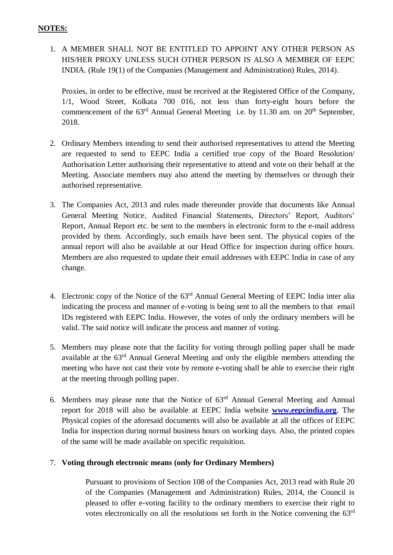# **NOTES:**

1. A MEMBER SHALL NOT BE ENTITLED TO APPOINT ANY OTHER PERSON AS HIS/HER PROXY UNLESS SUCH OTHER PERSON IS ALSO A MEMBER OF EEPC INDIA. (Rule 19(1) of the Companies (Management and Administration) Rules, 2014).

Proxies, in order to be effective, must be received at the Registered Office of the Company, 1/1, Wood Street, Kolkata 700 016, not less than forty-eight hours before the commencement of the  $63<sup>rd</sup>$  Annual General Meeting i.e. by 11.30 am. on  $20<sup>th</sup>$  September, 2018.

- 2. Ordinary Members intending to send their authorised representatives to attend the Meeting are requested to send to EEPC India a certified true copy of the Board Resolution/ Authorisation Letter authorising their representative to attend and vote on their behalf at the Meeting. Associate members may also attend the meeting by themselves or through their authorised representative.
- 3. The Companies Act, 2013 and rules made thereunder provide that documents like Annual General Meeting Notice, Audited Financial Statements, Directors' Report, Auditors' Report, Annual Report etc. be sent to the members in electronic form to the e-mail address provided by them. Accordingly, such emails have been sent. The physical copies of the annual report will also be available at our Head Office for inspection during office hours. Members are also requested to update their email addresses with EEPC India in case of any change.
- 4. Electronic copy of the Notice of the 63<sup>rd</sup> Annual General Meeting of EEPC India inter alia indicating the process and manner of e-voting is being sent to all the members to that email IDs registered with EEPC India. However, the votes of only the ordinary members will be valid. The said notice will indicate the process and manner of voting.
- 5. Members may please note that the facility for voting through polling paper shall be made available at the 63<sup>rd</sup> Annual General Meeting and only the eligible members attending the meeting who have not cast their vote by remote e-voting shall be able to exercise their right at the meeting through polling paper.
- 6. Members may please note that the Notice of  $63<sup>rd</sup>$  Annual General Meeting and Annual report for 2018 will also be available at EEPC India website **[www.eepcindia.org](http://www.eepcindia.org/)**. The Physical copies of the aforesaid documents will also be available at all the offices of EEPC India for inspection during normal business hours on working days. Also, the printed copies of the same will be made available on specific requisition.

# 7. **Voting through electronic means (only for Ordinary Members)**

Pursuant to provisions of Section 108 of the Companies Act, 2013 read with Rule 20 of the Companies (Management and Administration) Rules, 2014, the Council is pleased to offer e-voting facility to the ordinary members to exercise their right to votes electronically on all the resolutions set forth in the Notice convening the  $63<sup>rd</sup>$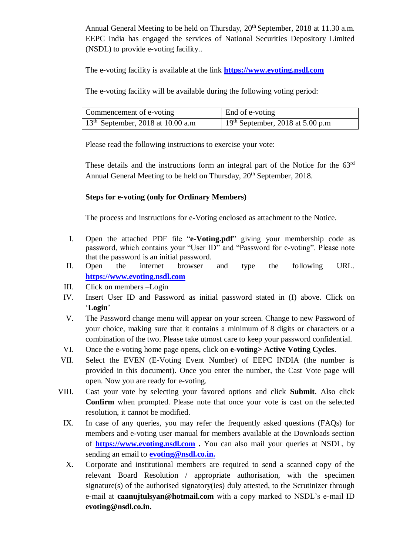Annual General Meeting to be held on Thursday, 20<sup>th</sup> September, 2018 at 11.30 a.m. EEPC India has engaged the services of National Securities Depository Limited (NSDL) to provide e-voting facility..

The e-voting facility is available at the link **[https://www.evoting.nsdl.com](https://www.evoting.nsdl.com/)**

The e-voting facility will be available during the following voting period:

| Commencement of e-voting            | End of e-voting                              |
|-------------------------------------|----------------------------------------------|
| $13th$ September, 2018 at 10.00 a.m | 19 <sup>th</sup> September, 2018 at 5.00 p.m |

Please read the following instructions to exercise your vote:

These details and the instructions form an integral part of the Notice for the  $63<sup>rd</sup>$ Annual General Meeting to be held on Thursday, 20<sup>th</sup> September, 2018.

## **Steps for e-voting (only for Ordinary Members)**

The process and instructions for e-Voting enclosed as attachment to the Notice.

- I. Open the attached PDF file "**e-Voting.pdf**" giving your membership code as password, which contains your "User ID" and "Password for e-voting". Please note that the password is an initial password.
- II. Open the internet browser and type the following URL. **[https://www.evoting.nsdl.com](https://www.evoting.nsdl.com/)**
- III. Click on members –Login
- IV. Insert User ID and Password as initial password stated in (I) above. Click on '**Login**'
- V. The Password change menu will appear on your screen. Change to new Password of your choice, making sure that it contains a minimum of 8 digits or characters or a combination of the two. Please take utmost care to keep your password confidential.
- VI. Once the e-voting home page opens, click on **e-voting> Active Voting Cycles**.
- VII. Select the EVEN (E-Voting Event Number) of EEPC INDIA (the number is provided in this document). Once you enter the number, the Cast Vote page will open. Now you are ready for e-voting.
- VIII. Cast your vote by selecting your favored options and click **Submit**. Also click **Confirm** when prompted. Please note that once your vote is cast on the selected resolution, it cannot be modified.
	- IX. In case of any queries, you may refer the frequently asked questions (FAQs) for members and e-voting user manual for members available at the Downloads section of **[https://www.evoting.nsdl.com](https://www.evoting.nsdl.com/) .** You can also mail your queries at NSDL, by sending an email to **[evoting@nsdl.co.in.](../AppData/Local/Microsoft/Windows/Temporary%20Internet%20Files/Content.Outlook/7YFWE5OJ/evoting@nsdl.co.in.)**
	- X. Corporate and institutional members are required to send a scanned copy of the relevant Board Resolution / appropriate authorisation, with the specimen signature(s) of the authorised signatory(ies) duly attested, to the Scrutinizer through e-mail at **caanujtulsyan@hotmail.com** with a copy marked to NSDL's e-mail ID **evoting@nsdl.co.in.**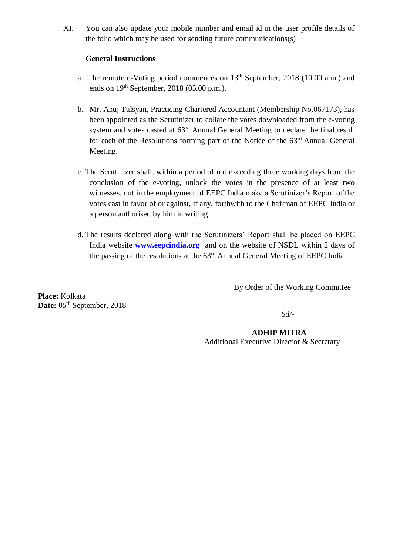XI. You can also update your mobile number and email id in the user profile details of the folio which may be used for sending future communications(s)

## **General Instructions**

- a. The remote e-Voting period commences on  $13<sup>th</sup>$  September, 2018 (10.00 a.m.) and ends on  $19<sup>th</sup>$  September, 2018 (05.00 p.m.).
- b. Mr. Anuj Tulsyan, Practicing Chartered Accountant (Membership No.067173), has been appointed as the Scrutinizer to collate the votes downloaded from the e-voting system and votes casted at 63<sup>rd</sup> Annual General Meeting to declare the final result for each of the Resolutions forming part of the Notice of the 63<sup>rd</sup> Annual General Meeting.
- c. The Scrutinizer shall, within a period of not exceeding three working days from the conclusion of the e-voting, unlock the votes in the presence of at least two witnesses, not in the employment of EEPC India make a Scrutinizer's Report of the votes cast in favor of or against, if any, forthwith to the Chairman of EEPC India or a person authorised by him in writing.
- d. The results declared along with the Scrutinizers' Report shall be placed on EEPC India website **[www.eepcindia.org](http://www.eepcindia.org/)** and on the website of NSDL within 2 days of the passing of the resolutions at the 63<sup>rd</sup> Annual General Meeting of EEPC India.

By Order of the Working Committee

**Place:** Kolkata Date: 05<sup>th</sup> September, 2018

*Sd/-*

 **ADHIP MITRA**

Additional Executive Director & Secretary